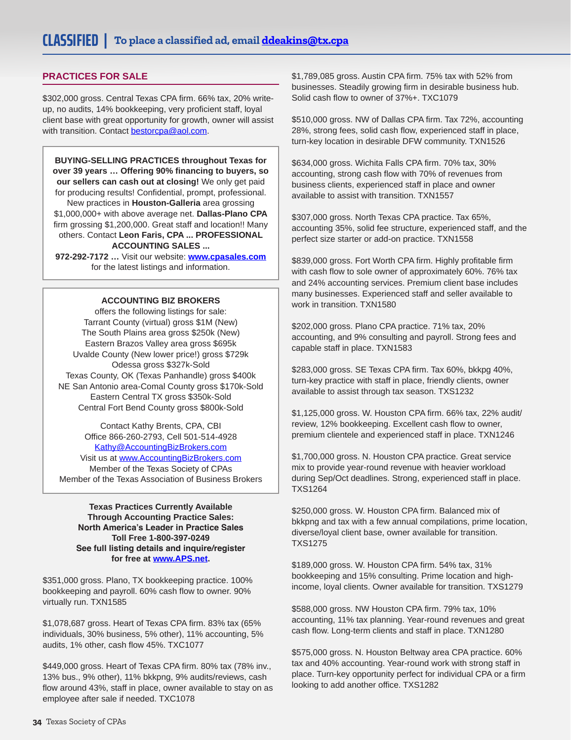## **PRACTICES FOR SALE**

\$302,000 gross. Central Texas CPA firm. 66% tax, 20% writeup, no audits, 14% bookkeeping, very proficient staff, loyal client base with great opportunity for growth, owner will assist with transition. Contact [bestorcpa@aol.com.](mailto:bestorcpa@aol.com)

**BUYING-SELLING PRACTICES throughout Texas for over 39 years … Offering 90% financing to buyers, so our sellers can cash out at closing!** We only get paid for producing results! Confidential, prompt, professional. New practices in **Houston-Galleria** area grossing \$1,000,000+ with above average net. **Dallas-Plano CPA** firm grossing \$1,200,000. Great staff and location!! Many others. Contact **Leon Faris, CPA ... PROFESSIONAL ACCOUNTING SALES ...** 

**972-292-7172 …** Visit our website: **[www.cpasales.com](http://www.cpasales.com)** for the latest listings and information.

#### **ACCOUNTING BIZ BROKERS**

offers the following listings for sale: Tarrant County (virtual) gross \$1M (New) The South Plains area gross \$250k (New) Eastern Brazos Valley area gross \$695k Uvalde County (New lower price!) gross \$729k Odessa gross \$327k-Sold Texas County, OK (Texas Panhandle) gross \$400k NE San Antonio area-Comal County gross \$170k-Sold Eastern Central TX gross \$350k-Sold Central Fort Bend County gross \$800k-Sold

Contact Kathy Brents, CPA, CBI Office 866-260-2793, Cell 501-514-4928 [Kathy@AccountingBizBrokers.com](mailto:Kathy@AccountingBizBrokers.com) Visit us at [www.AccountingBizBrokers.com](http://www.AccountingBizBrokers.com) Member of the Texas Society of CPAs Member of the Texas Association of Business Brokers

**Texas Practices Currently Available Through Accounting Practice Sales: North America's Leader in Practice Sales Toll Free 1-800-397-0249 See full listing details and inquire/register for free at [www.APS.net](http://www.APS.net).**

\$351,000 gross. Plano, TX bookkeeping practice. 100% bookkeeping and payroll. 60% cash flow to owner. 90% virtually run. TXN1585

\$1,078,687 gross. Heart of Texas CPA firm. 83% tax (65% individuals, 30% business, 5% other), 11% accounting, 5% audits, 1% other, cash flow 45%. TXC1077

\$449,000 gross. Heart of Texas CPA firm. 80% tax (78% inv., 13% bus., 9% other), 11% bkkpng, 9% audits/reviews, cash flow around 43%, staff in place, owner available to stay on as employee after sale if needed. TXC1078

\$1,789,085 gross. Austin CPA firm. 75% tax with 52% from businesses. Steadily growing firm in desirable business hub. Solid cash flow to owner of 37%+. TXC1079

\$510,000 gross. NW of Dallas CPA firm. Tax 72%, accounting 28%, strong fees, solid cash flow, experienced staff in place, turn-key location in desirable DFW community. TXN1526

\$634,000 gross. Wichita Falls CPA firm. 70% tax, 30% accounting, strong cash flow with 70% of revenues from business clients, experienced staff in place and owner available to assist with transition. TXN1557

\$307,000 gross. North Texas CPA practice. Tax 65%, accounting 35%, solid fee structure, experienced staff, and the perfect size starter or add-on practice. TXN1558

\$839,000 gross. Fort Worth CPA firm. Highly profitable firm with cash flow to sole owner of approximately 60%. 76% tax and 24% accounting services. Premium client base includes many businesses. Experienced staff and seller available to work in transition. TXN1580

\$202,000 gross. Plano CPA practice. 71% tax, 20% accounting, and 9% consulting and payroll. Strong fees and capable staff in place. TXN1583

\$283,000 gross. SE Texas CPA firm. Tax 60%, bkkpg 40%, turn-key practice with staff in place, friendly clients, owner available to assist through tax season. TXS1232

\$1,125,000 gross. W. Houston CPA firm. 66% tax, 22% audit/ review, 12% bookkeeping. Excellent cash flow to owner, premium clientele and experienced staff in place. TXN1246

\$1,700,000 gross. N. Houston CPA practice. Great service mix to provide year-round revenue with heavier workload during Sep/Oct deadlines. Strong, experienced staff in place. TXS1264

\$250,000 gross. W. Houston CPA firm. Balanced mix of bkkpng and tax with a few annual compilations, prime location, diverse/loyal client base, owner available for transition. TXS1275

\$189,000 gross. W. Houston CPA firm. 54% tax, 31% bookkeeping and 15% consulting. Prime location and highincome, loyal clients. Owner available for transition. TXS1279

\$588,000 gross. NW Houston CPA firm. 79% tax, 10% accounting, 11% tax planning. Year-round revenues and great cash flow. Long-term clients and staff in place. TXN1280

\$575,000 gross. N. Houston Beltway area CPA practice. 60% tax and 40% accounting. Year-round work with strong staff in place. Turn-key opportunity perfect for individual CPA or a firm looking to add another office. TXS1282